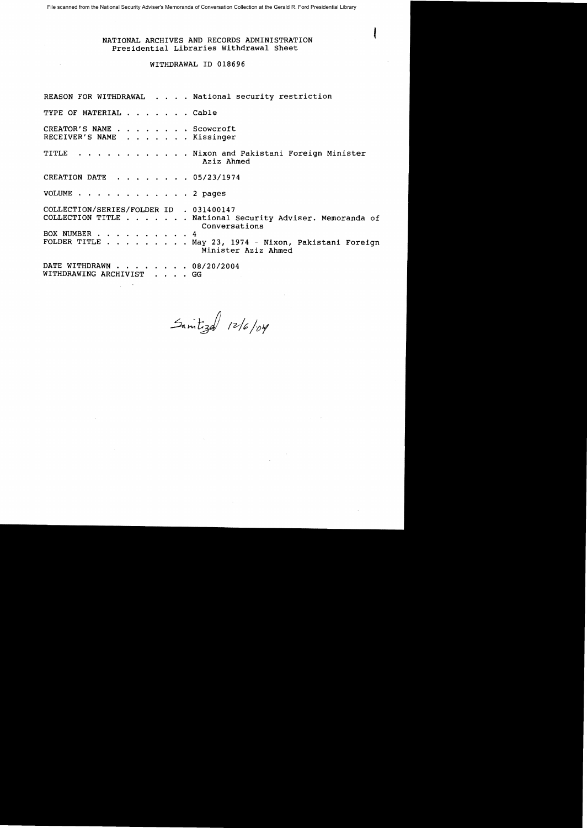File scanned from the National Security Adviser's Memoranda of Conversation Collection at the Gerald R. Ford Presidential Library

## NATIONAL ARCHIVES AND RECORDS ADMINISTRATION Presidential Libraries Withdrawal Sheet

# WITHDRAWAL ID 018696

REASON FOR WITHDRAWAL . . . . National security restriction TYPE OF MATERIAL . . . . . . Cable CREATOR'S NAME . . . . . . . . Scowcroft CREATOR'S NAME . . . . . . . . Scowcroft<br>RECEIVER'S NAME . . . . . . . Kissinger TITLE . . . . . . . . . . . Nixon and Pakistani Foreign Minister Aziz Ahmed CREATION DATE  $\cdot \cdot \cdot \cdot \cdot \cdot 05/23/1974$ VOLUME . . . . . . . . . . . . 2 pages COLLECTION/SERIES/FOLDER 10 . 031400147 COLLECTION TITLE . . . . . . National Security Adviser. Memoranda of BOX NUMBER . FOLDER TITLE . May 23, 1974 - Nixon, Pakistani Foreign . 4 Conversations Minister Aziz Ahmed DATE WITHDRAWN . . . .. . 08/20/2004 WITHDRAWING ARCHIVIST . . GG

 $5$  integal  $12/6$ /04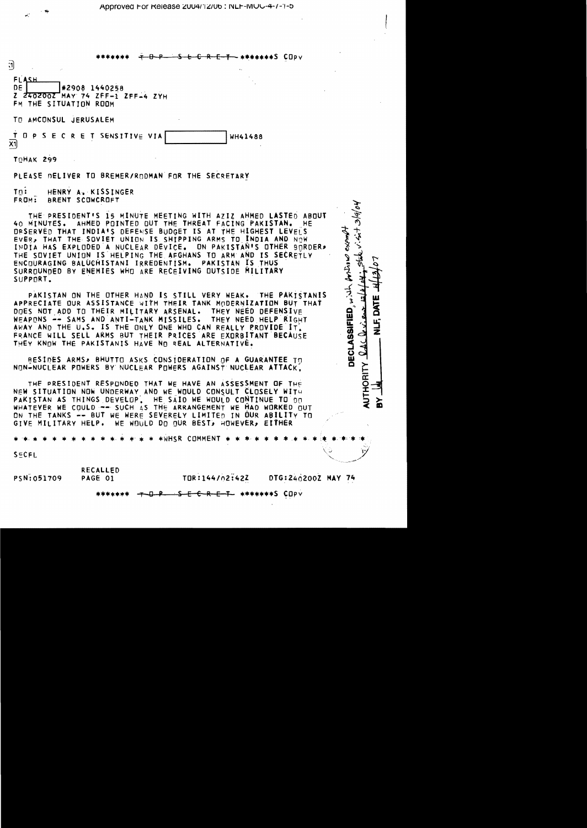⊾s cnnu

しゅうのよう

DECLASSIFIED, with Antine exempt

DAL

**AUTHORITY** 

∑<br>מ

| त                                                   | will www.uurinn <del>.com</del><br>$\sim$ . |
|-----------------------------------------------------|---------------------------------------------|
| FLASH<br>$\frac{DE}{Z}$<br>FM THE SITUATION ROOM    |                                             |
| TO AMCONSUL JERUSALEM                               |                                             |
| T O P S E C R E T SENSITIVE VIA<br>$\overline{x_1}$ | WH41488                                     |

TOHAK 299

PLEASE DELIVER TO BREMER/RODMAN FOR THE SECRETARY

 $\overline{\mathsf{T}}\mathsf{n}$ : HENRY A. KISSINGER BRENT SCOWCROFT FROM:

THE PRESIDENT'S IS MINUTE MEETING WITH AZIZ AHMED LASTED ABOUT 40 MINUTES. AHMED POINTED OUT THE THREAT FACING PAKISTAN. HE. DRSERVED THAT INDIA'S DEFENSE BUDGET IS AT THE HIGHEST LEVELS EVER, THAT THE SOVIET UNION IS SHIPPING ARMS TO INDIA AND NOW INDIA HAS EXPLODED A NUCLEAR DEVICE. ON PAKISTAN'S OTHER BORDER. THE SOVIET UNION IS HELPING THE AFGHANS TO ARM AND IS SECRETLY ENCOURAGING BALUCHISTANI IRREDENTISM. PAKISTAN IS THUS SURROUNDED BY ENEMIES WHO ARE RECEIVING OUTSIDE MILITARY SUPPORT.

PAKISTAN ON THE OTHER HAND IS STILL VERY WEAK. THE PAKISTANIS APPRECIATE OUR ASSISTANCE WITH THEIR TANK MODERNIZATION BUT THAT DOES NOT ADD TO THEIR MILITARY ARSENAL. THEY NEED DEFENSIVE THEY NEED HELP RIGHT WEAPONS -- SAMS AND ANTI-TANK MISSILES. AWAY AND THE U.S. IS THE ONLY ONE WHO CAN REALLY PROVIDE IT. FRANCE WILL SELL ARMS BUT THEIR PRICES ARE EXORBITANT BECAUSE THEY KNOW THE PAKISTANIS HAVE NO REAL ALTERNATIVE.

RESIDES ARMS, BHUTTO ASKS CONSIDERATION OF A GUARANTEE TO NON-NUCLEAR POWERS BY NUCLEAR POWERS AGAINST NUCLEAR ATTACK.

THE PRESIDENT RESPONDED THAT WE HAVE AN ASSESSMENT OF THE NEW SITUATION NOW UNDERWAY AND WE WOULD CONSULT CLOSELY WITH PAKISTAN AS THINGS DEVELOP. HE SAID WE WOULD CONTINUE TO DO WHATEVER WE COULD -- SUCH AS THE ARRANGEMENT WE HAD WORKED OUT ON THE TANKS -- BUT WE WERE SEVERELY LIMITED IN OUR ABILITY TO GIVE MILITARY HELP. WE WOULD DO OUR BÊST, HOWEVER, EITHÊR

\*WHSR COMMENT

 $S$ ECFL

**RECALLED** PSN:051709 PAGE 01

TOR:144/02:42Z DTG:2402002 MAY 74

<del>E C R E T \*\*\*\*\*\*\*</del>S COPY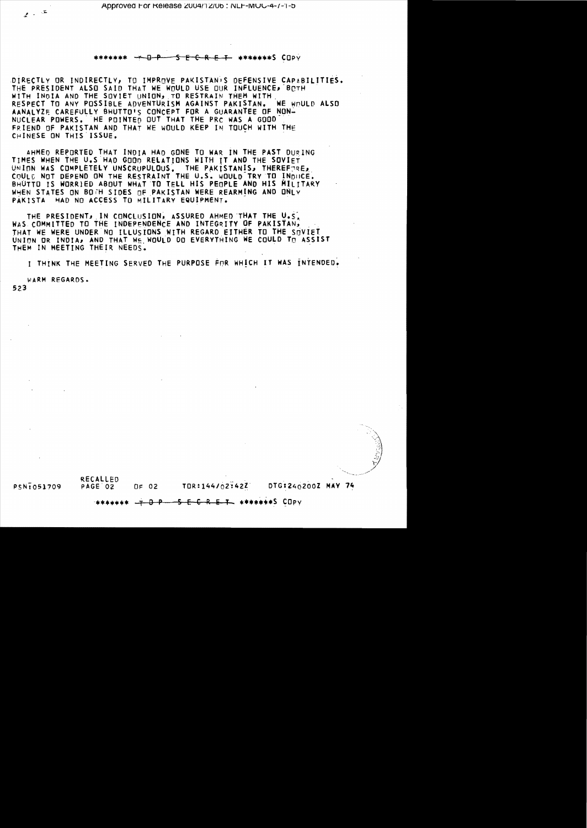## <del>O P – S E C R E T -</del> \*\*\*\*\*\*\***S C**OPY

DIRECTLY OR INDIRECTLY, TO IMPROVE PAKISTAN'S DEFENSIVE CAPABILITIES.<br>THE PRESIDENT ALSO SAID THAT WE WOULD USE OUR INFLUENCE, BOTH WITH INDIA AND THE SOVIET UNION, TO RESTRAIN THEM WITH RESPECT TO ANY POSSIBLE ADVENTURISM AGAINST PAKISTAN. **WE WAULD ALSO** AANALYZE CAREFULLY BHUTTO'S CONCEPT FOR A GUARANTEE OF NON-NUCLEAR POWERS. HE POINTED OUT THAT THE PRC WAS A GOOD FRIEND OF PAKISTAN AND THAT WE WOULD KEEP IN TOUCH WITH THE CHINESE ON THIS ISSUE.

AHMED REPORTED THAT INDIA HAD GONE TO WAR IN THE PAST DURING TIMES WHEN THE U.S HAD GOOD RELATIONS WITH IT AND THE SOVIET UNION WAS COMPLETELY UNSCRUPULOUS, THE PAKISTANIS, THEREFORE, COULD NOT DEPEND ON THE RESTRAINT THE U.S. WOULD TRY TO INDUCE. BHUTTO IS WORRIED ABOUT WHAT TO TELL HIS PEOPLE AND HIS MILITARY WHEN STATES ON BOTH SIDES OF PAKISTAN WERE REARMING AND ONLY PÄKISTA HAD NO ACCESS TO MILITARY EQUIPMENT.

THE PRESIDENT, IN CONCLUSION, ASSURED AHMED THAT THE U.S. WAS COMMITTED TO THE INDEPFNDENCE AND INTEGRITY OF PAKISTAN, THAT WE WERE UNDER NO ILLUSIONS WITH REGARD EITHER TO THE SOVIET UNION OR INDIA, AND THAT WE WOULD DO EVERYTHING WE COULD TO ASSIST THEM IN MEETING THEIR NEEDS.

I THINK THE MEETING SERVED THE PURPOSE FOR WHICH IT WAS INTENDED.

WARM REGARDS.

523

**RECALLED** PSN:051709 PAGE 02

DTG:240200Z MAY 74  $OF$  02 TOR:144/02:42Z

####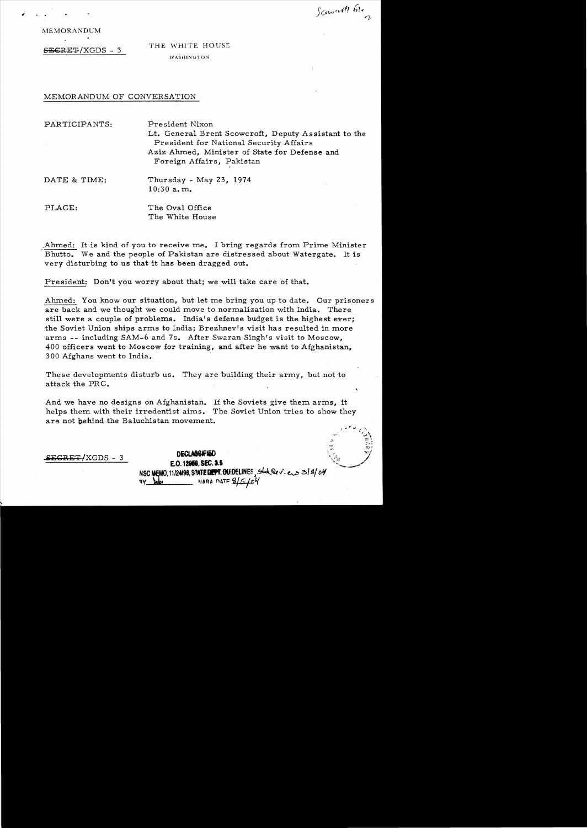Scourit bie

MEMORANDUM

# $S_{\text{EGRE}}/XGDS - 3$  THE WHITE HOUSE WASHINGTON

## MEMORANDUM OF CONVERSATION

PARTICIPANTS: President Nixon

Lt. General Brent Scowcroft, Deputy Assistant to the President for National Security Affairs Aziz Ahmed, Minister of State for Defense and Foreign Affairs, Pakistan

I

DATE & TIME: Thursday - May 23, 1974 10:30 a. m.

PLACE: The Oval Office The White House

Ahmed: It is kind of you to receive me. I bring regards from Prime Minister Bhutto. We and the people of Pakistan are distressed about Watergate. It is very disturbing to us that it has been dragged out.

President: Don't you worry about that; we will take care of that.

Ahmed: You know our situation, but let me bring you up to date. Our prisoners are back and we thought we could move to normalization with India. There still were a couple of problems. India's defense budget is the highest ever; the Soviet Union ships arms to India; Brezhnev's visit has resulted in more arms -- including SAM-6 and 7s. After Swaran Singh's visit to Moscow, 400 officers went to Moscow for training, and after he want to Afghanistan, 300 Afghans went to India.

These developments disturb us. They are building their army, but not to attack the PRC.

And we have no designs on Afghanistan. If the Soviets give them arms, it helps them with their irredentist aims. The Soviet Union tries to show they are not behind the Baluchistan movement.

**DECLAGGIFIED**<br>E.O. 12066, SEC. 1.1 NSC MEMO, 11124198, STATE DEPT. CONDELINES, Shot Rev. e.s 3/8/04  $\sim$  NARA DATE  $2/5/04$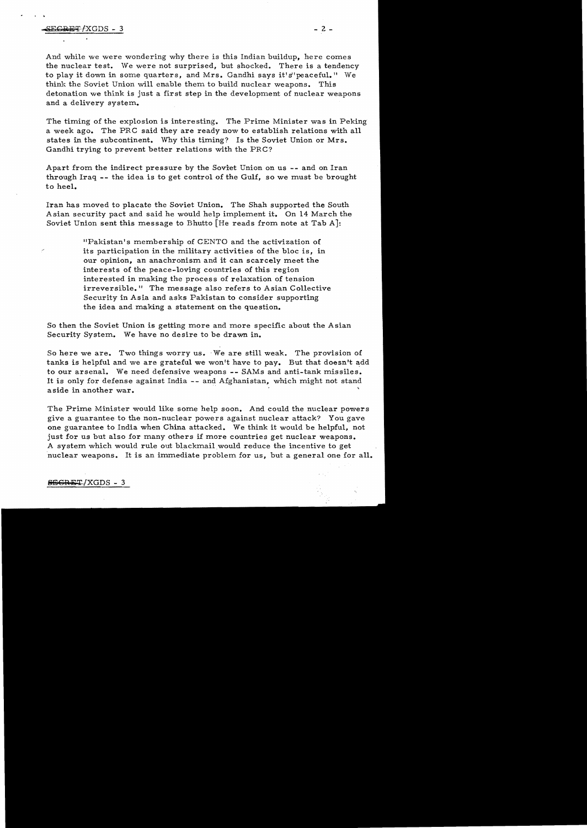· .

And while we were wondering why there is this Indian buildup, here comes the nuclear test. We were not surprised, but shocked. There is a tendency to play it down in some quarters, and Mrs. Gandhi says it's"peaceful." We think the Soviet Union will enable them to build nuclear weapons. This detonation we think is just a first step in the development of nuclear weapons and a delivery system.

The timing of the explosion is interesting. The Prime Minister was in Peking a week ago. The PRC said they are ready now to establish relations with all states in the subcontinent. 'Why this timing? Is the Soviet Union or Mrs. Gandhi trying to prevent better relations with the PRC?

Apart from the indirect pressure by the Soviet Union on us -- and on Iran through Iraq - - the idea is to get control of the Gulf, so we must be brought to heel.

Iran has moved to placate the Soviet Union. The Shah supported the South Asian security pact and said he would help implement it. On 14 March the Soviet Union sent this message to Bhutto [He reads from note at Tab *A}:* 

> "Pakistan's membership of CENTO and the activization of its participation in the military activities of the bloc is, in our opinion, an anachronism and it can scarcely meet the interests of the peace-loving countries of this region interested in making the process of relaxation of tension irreversible." The message also refers to Asian Collective Security in Asia and asks Pakistan to consider supporting the idea and making a statement on the question.

So then the Soviet Union is getting more and more specific about the Asian Security System. We have no desire to be drawn in.

So here we are. Two things worry us. 'We are still weak. The provision of tanks is helpful and we are grateful we won't have to pay. But that doesn't add to our arsenal. We need defensive weapons -- SAMs and anti-tank missiles. It is only for defense against India -- and Afghanistan, which might not stand aside in another war.

The Prime Minister would like some help soon. And could the nuclear powers give a guarantee to the non-nuclear powers against nuclear attack? You gave one guarantee to India when China attacked. We think it would be helpful, not just for us but also for many others if more countries get nuclear weapons. A system which would rule out blackmail,would reduce the incentive to get nuclear weapons. It is an immediate problem for us, but a general one for all.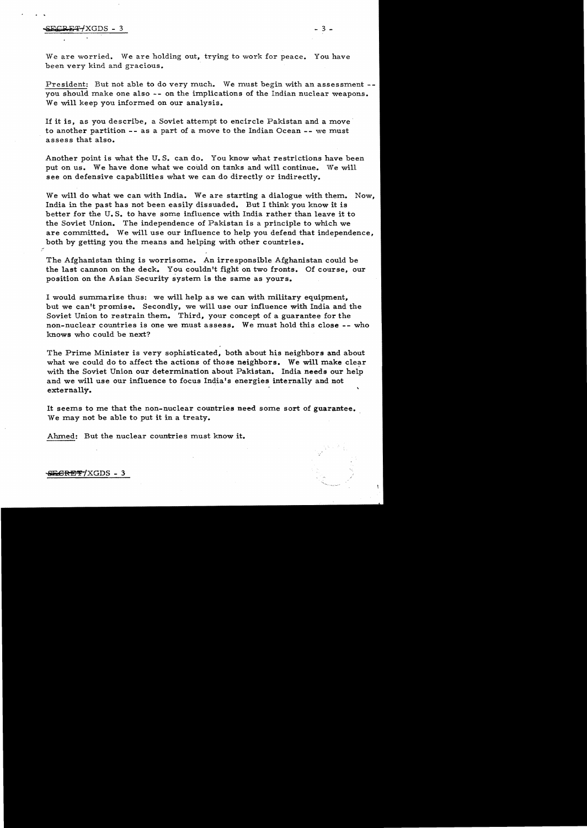### -elk""P ~'P-fXGDS - 3 - 3

We are worried. We are holding out, trying to work for peace. You have been very kind and gracious.

President: But not able to do very much. We must begin with an assessment -you should make one also -- on the implications of the Indian nuclear weapons. We will keep you informed on our analysis.

If it is, as you describe, a Soviet attempt to encircle Pakistan and a move to another partition -- as a part of a move to the Indian Ocean -- we must assess that also.

Another point is what the U. S. can do. You know what restrictions have been put on us. We have done what we could on tanks and will continue. We will see on defensive capabilities what we can do directly or indirectly.

We will do what we can with India. We are starting a dialogue with them. Now, India in the past has not been easily dissuaded. But I think you know it is better for the U. S. to have some influence with India rather than leave it to the Soviet Union. The independence of Pakistan is a principle to which we are committed. We will use our influence to help you defend that independence, both by getting you the means and helping with other countries.

The Afghanistan thing is worrisome. An irresponsible Afghanistan could be the last cannon on the deck. You couldn't fight on two fronts. Of course, our position on the Asian Security system is the same as yours.

I would summarize thus: we will help as we can with military equipment, but we can't promise. Secondly, we will use our influence with India and the Soviet Union to restrain them. Third, your concept of a guarantee for the non-nuclear countries is one we must assess. We must hold this close **--** who knows who could be next?

The Prime Minister is very sophisticated, both about his neighbors and about what we could do to affect the actions of those neighbors. We will make clear with the Soviet Union our determination about Pakistan. India needs our help and we will use our influence to focus India's energies internally and not externally. .

It seems to me that the non-nuclear countries need some sort of guarantee. We may not be able to put it in a treaty.

Ahmed: But the nuclear countries must know it.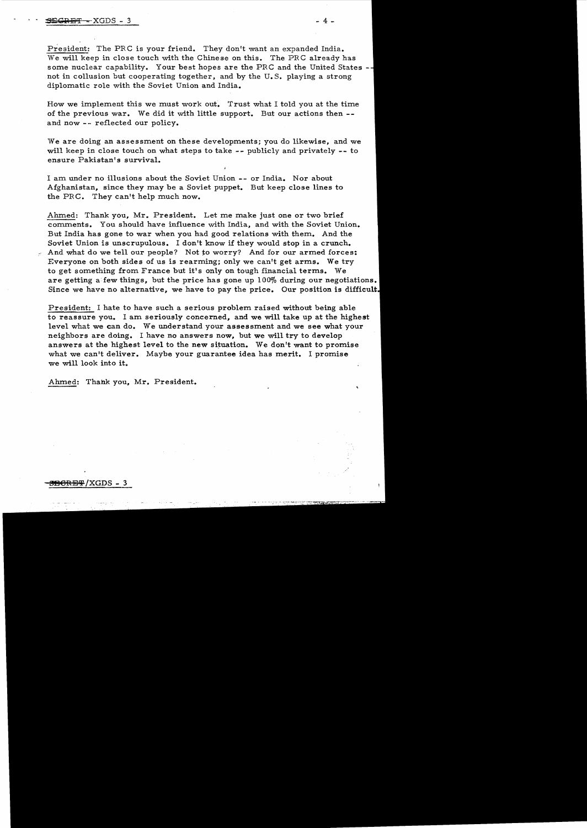President: The PRC is your friend. They don't want an expanded India. We will keep in close touch with the Chinese on this. The PRC already has some nuclear capability. Your best hopes are the PRC and the United States -hot in collusion but cooperating together, and by the U.S. playing a strong diplomatic role with the Soviet Union and India.

How we implement this we must work out. Trust what I told you at the time of the previous war. We did it with little support. But our actions then and now -- reflected our policy.

We are doing an assessment on these developments; you do likewise, and we will keep in close touch on what steps to take -- publicly and privately -- to ensure Pakistan's survival.

I am under no illusions about the Soviet Union -- or India. Nor about Afghanistan, since they may be a Soviet puppet. But keep close lines to the PRC. They can't help much now.

Ahmed: Thank you, Mr. President. Let me make just one or two brief comments. You should have influence with India, and with the Soviet Union. But India has gone to war when you had good relations with them. And the Soviet Union is unscrupulous. I don't know if they would stop in a crunch. And what do we tell our people? Not to worry? And for our armed forces: Everyone on both sides of us is rearming; only we can't get arms. We try to get something from France but it's only on tough financial terms. We are getting a few things, but the price has gone up 100% during our negotiations. Since we have no alternative, we have to pay the price. Our position is difficult.

President: I hate to have such a serious problem raised without being able to reassure you. I am seriously concerned, and we will take up at the highest level what we can do. We understand your assessment and we see what your neighbors are doing. I have no answers now, but we will try to develop answers at the highest level to the new situation. We don't want to promise what we can't deliver. Maybe your guarantee idea has merit. I promise we will look into it.

Ahmed: Thank you, Mr. President.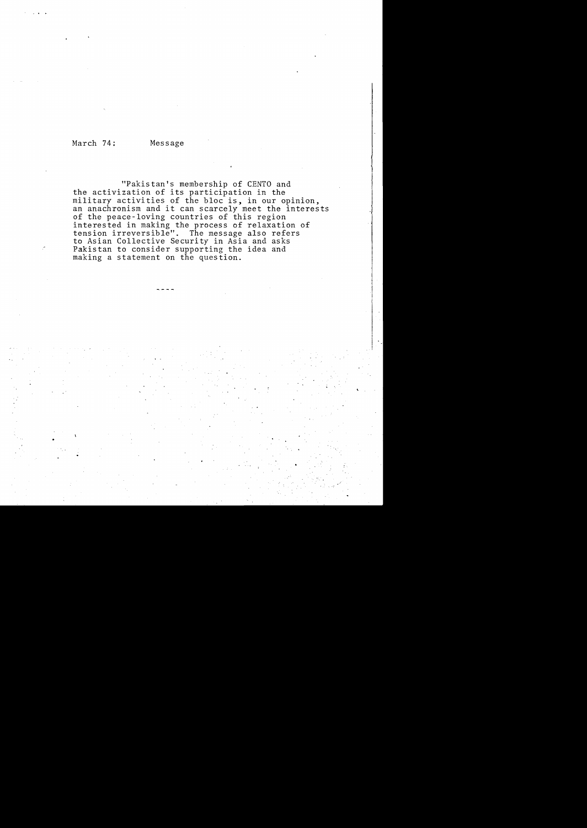March 74; Message

"Pakistan's membership of CENTO and the activization of its participation in the military activities of the bloc is, in our opinion, an anachronism and it can scarcely meet the interests of the peace-loving countries of this region interested in making the process of relaxation of tension irreversible". The message also refers to Asian Collective Security in Asia and asks Pakistan to consider supporting the idea and making a statement on the question.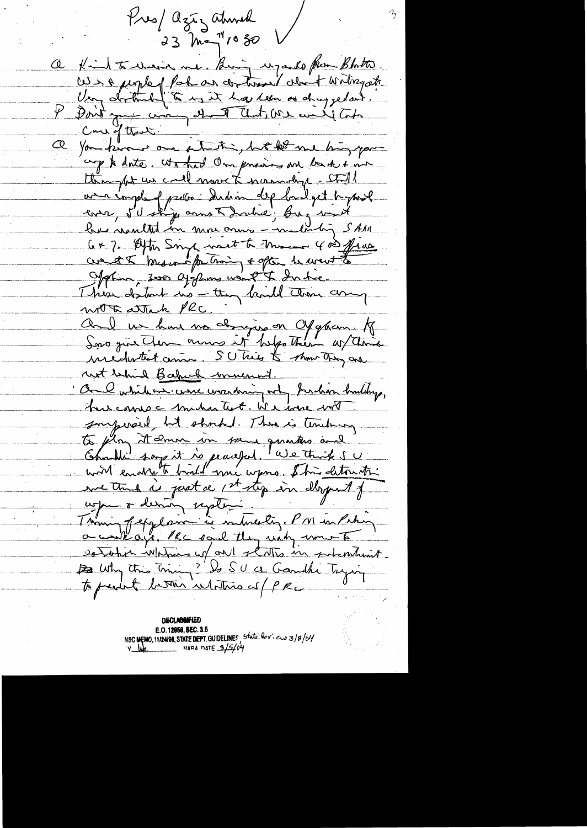Pres/ agiz abund 23 May 1030 Kind to wear me. Birg upando from Bhother. We a people of Pack as de time " what writingate Very derthill to my it has teen as draggedas. Don't you can de T aut, vou could take a for know one starting to the me hing your cap to doite, what I'm process are back + me thing for un could more to normaly - Stall avec implement proton: Indian dep band get t-yourle<br>earen, 50 ships anna Dachie; Buz vant C+ 7. After Singh west to Messen 400 frace cont & breson for haing + often be went to Jefun, sur Giffins voil & Indie. This datant no they kind then any wrote attack PRC Aul un hui no dougir en Cygnam. A une dutiet anne. S'Utrès & show they are not behind Backed much in Only while are were wandering orty Indian buildings, hus camp a michantest. We were with surpersil but shocked. There is tendency to flor it enun in sein gunter and "<br>Charles say it is peaceful "We think sure with some when the entire of the settern the uge o derne repter a work ago. He said they want wount establish Whitness up out states in satisfations. B Why this timing? Do SU a Gamble Trying to prevent better intothis as PRC

**DECLASSIFIED** E.O. 12966, SEC. 3.5 NSC MEMO, 11/24/98, STATE DEPT. GUIDELINES, State Rev. ew 3/8/04  $v_{\text{min}}$  NARA DATE  $3/5/04$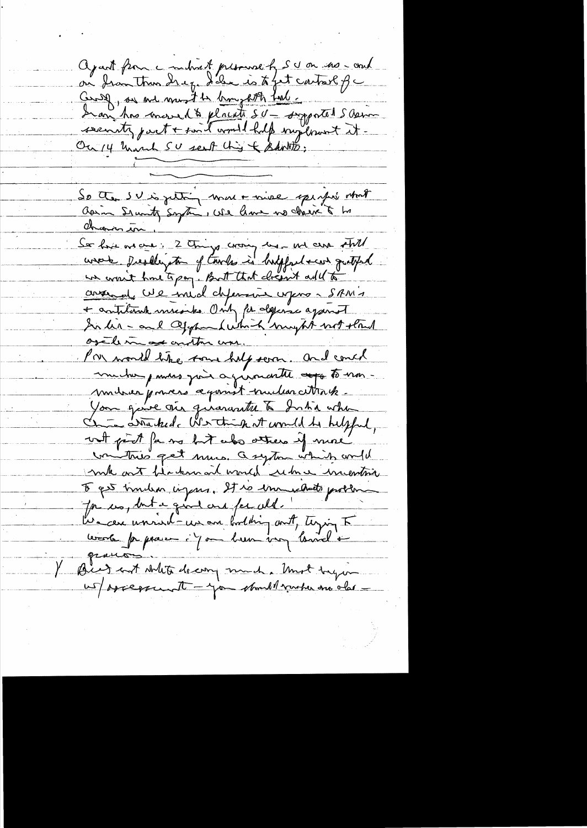agant from a miliard presence of SU on the - and on from then drep. I'de is to fet contact of a Crise, on me must te broughth tout : security part + said would halp suplous it. Ou 14 mont SU sent this & Bankto; So then IV is justing more raise sperfie what Observer in Sor fort one can 2 things crossy has not care still wrote Deally to of two is briggad can gutter un evenit home to pay. But that closent add to conservat U2 inid defensive upons SAM's In his - and appen hushing myth not stand orthmess anton un. Pron would like some help seven. and couch muche paras pois agramante appartement mitrier pouvers aquinst mulencettrak. You gouve via guarante à Intia when with part for no but also atters if more winting get muis. a system which and d mile aut filademail would reduce mention I get trouble infans. It is immediate problem Jon us, but a grand and for ald. because univel-un an bodhing ont, typing F bourbe paparen i Jan breve vous barrel <del>et</del> Big and white decory much . Unot begon us/assessment - you should venter one also -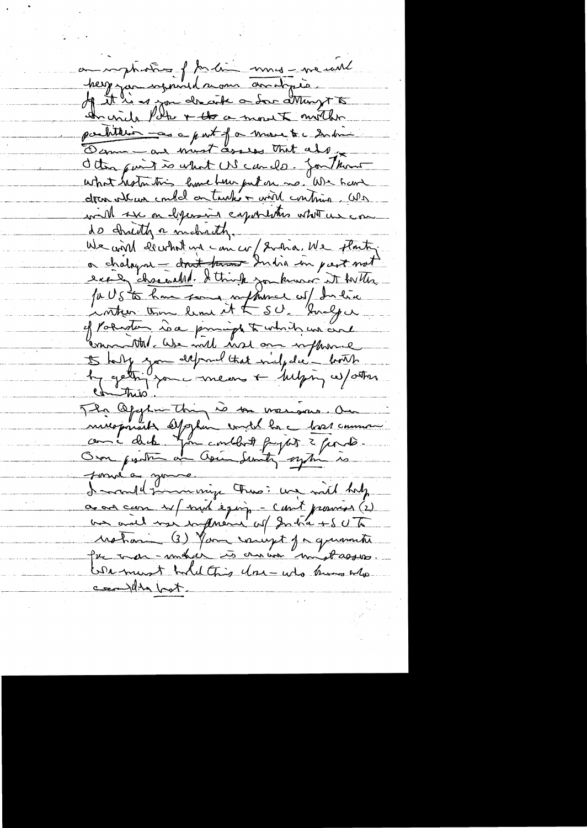a impliation f to line mus - ne will herz jou soyant dame avoit prix the will Pole + the a most mother partiture -as a part of a more to a submin Derma - and must assess that also deter quit is what US cando. for them what hotel this lime hun put on no. We have dres atems embalantantés mont continua cola will se on depending capitalities what we can do Indity a mobility. We will dewhat up concre 2 and We floater. a chaloyne - don't town India in part not exait charached. It think you known it to the of Polarten is a principa to which we are commental. We will not one influence Is help you depend that niche de lembs The Opphinisting is to warrow an minisprient Oppen und la chose comme sonné a gouve.<br>La coule pour voir a lors : une mil holp a au com et mil eguje - cont pourse (2) Moham (3) Your vougt pa quantit We must hold this Use who know who conthe bot.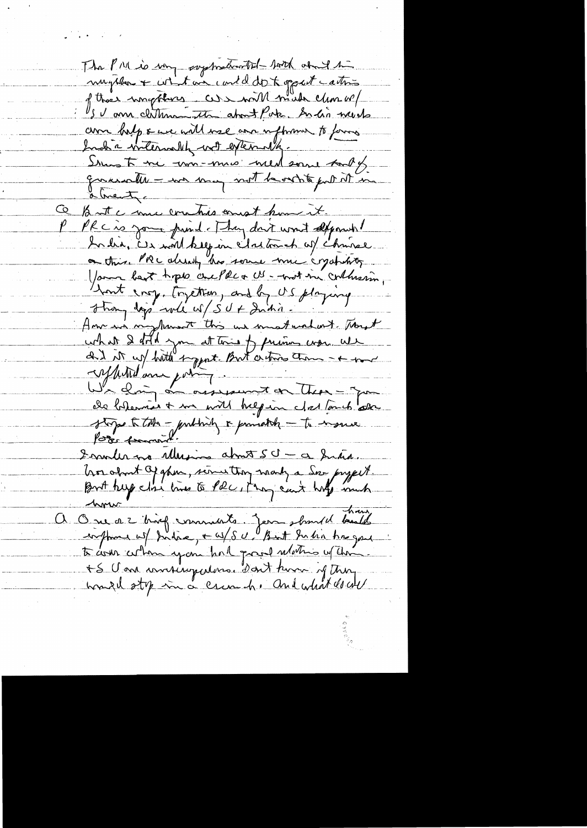The PM is my symmatically both about the mughter + what we could do to good cation of those importants as with made clim or am help & we will use are uphome to forms Inch a witerwally with externally. Simst me um-mis weed some tooks querate - we may not beast to put it in abrentic But a mu combies and home it. رخ PRC is your pund. They don't won't depose it Ardia, Es mont kelp in Sattomach w/ Chrise on this. PRC already this service much crystality Your best tops crefter US - not in collusion, Ant roy, together, and by US playing How in my turn this we metundant Though what I don't you at this of primes were use and it up hitte toppat. But a tries am - + mm apperted and point and there - Former and the - Former of the most of the - Former of the most of the most of the most of the state of the most of the state of the most of the most of the state of the state of the state of Immurme Musica about SU - a Sina. hor about of ghim, serves they many a Some project.<br>But beg close live to Phe , they can't holy much One a 2 king commants jem should beautif to come coton you had grand mothers when